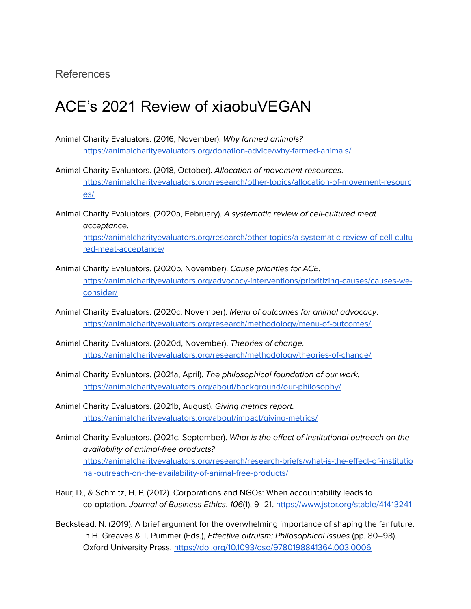## References

## ACE's 2021 Review of xiaobuVEGAN

- Animal Charity Evaluators. (2016, November). Why farmed animals? <https://animalcharityevaluators.org/donation-advice/why-farmed-animals/>
- Animal Charity Evaluators. (2018, October). Allocation of movement resources. [https://animalcharityevaluators.org/research/other-topics/allocation-of-movement-resourc](https://animalcharityevaluators.org/research/other-topics/allocation-of-movement-resources/) [es/](https://animalcharityevaluators.org/research/other-topics/allocation-of-movement-resources/)
- Animal Charity Evaluators. (2020a, February). A systematic review of cell-cultured meat acceptance. [https://animalcharityevaluators.org/research/other-topics/a-systematic-review-of-cell-cultu](https://animalcharityevaluators.org/research/other-topics/a-systematic-review-of-cell-cultured-meat-acceptance/) [red-meat-acceptance/](https://animalcharityevaluators.org/research/other-topics/a-systematic-review-of-cell-cultured-meat-acceptance/)
- Animal Charity Evaluators. (2020b, November). Cause priorities for ACE. [https://animalcharityevaluators.org/advocacy-interventions/prioritizing-causes/causes-we](https://animalcharityevaluators.org/advocacy-interventions/prioritizing-causes/causes-we-consider/)[consider/](https://animalcharityevaluators.org/advocacy-interventions/prioritizing-causes/causes-we-consider/)
- Animal Charity Evaluators. (2020c, November). Menu of outcomes for animal advocacy. <https://animalcharityevaluators.org/research/methodology/menu-of-outcomes/>
- Animal Charity Evaluators. (2020d, November). Theories of change. <https://animalcharityevaluators.org/research/methodology/theories-of-change/>
- Animal Charity Evaluators. (2021a, April). The philosophical foundation of our work. <https://animalcharityevaluators.org/about/background/our-philosophy/>
- Animal Charity Evaluators. (2021b, August). Giving metrics report. <https://animalcharityevaluators.org/about/impact/giving-metrics/>
- Animal Charity Evaluators. (2021c, September). What is the effect of institutional outreach on the availability of animal-free products? [https://animalcharityevaluators.org/research/research-briefs/what-is-the-effect-of-institutio](https://animalcharityevaluators.org/research/research-briefs/what-is-the-effect-of-institutional-outreach-on-the-availability-of-animal-free-products/) [nal-outreach-on-the-availability-of-animal-free-products/](https://animalcharityevaluators.org/research/research-briefs/what-is-the-effect-of-institutional-outreach-on-the-availability-of-animal-free-products/)
- Baur, D., & Schmitz, H. P. (2012). Corporations and NGOs: When accountability leads to co-optation. Journal of Business Ethics, 106(1), 9–21. <https://www.jstor.org/stable/41413241>
- Beckstead, N. (2019). A brief argument for the overwhelming importance of shaping the far future. In H. Greaves & T. Pummer (Eds.), Effective altruism: Philosophical issues (pp. 80–98). Oxford University Press. <https://doi.org/10.1093/oso/9780198841364.003.0006>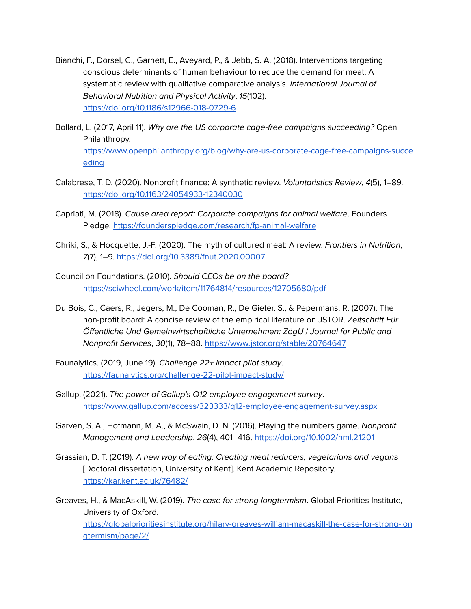- Bianchi, F., Dorsel, C., Garnett, E., Aveyard, P., & Jebb, S. A. (2018). Interventions targeting conscious determinants of human behaviour to reduce the demand for meat: A systematic review with qualitative comparative analysis. [International](https://ijbnpa.biomedcentral.com/) Journal of [Behavioral](https://ijbnpa.biomedcentral.com/) Nutrition and Physical Activity, 15(102). <https://doi.org/10.1186/s12966-018-0729-6>
- Bollard, L. (2017, April 11). Why are the US corporate cage-free campaigns succeeding? Open Philanthropy. [https://www.openphilanthropy.org/blog/why-are-us-corporate-cage-free-campaigns-succe](https://www.openphilanthropy.org/blog/why-are-us-corporate-cage-free-campaigns-succeeding) [eding](https://www.openphilanthropy.org/blog/why-are-us-corporate-cage-free-campaigns-succeeding)
- Calabrese, T. D. (2020). Nonprofit finance: A synthetic review. Voluntaristics Review, 4(5), 1–89. <https://doi.org/10.1163/24054933-12340030>
- Capriati, M. (2018). Cause area report: Corporate campaigns for animal welfare. Founders Pledge. <https://founderspledge.com/research/fp-animal-welfare>
- Chriki, S., & Hocquette, J.-F. (2020). The myth of cultured meat: A review. Frontiers in Nutrition, 7(7), 1–9. <https://doi.org/10.3389/fnut.2020.00007>
- Council on Foundations. (2010). Should CEOs be on the board? <https://sciwheel.com/work/item/11764814/resources/12705680/pdf>
- Du Bois, C., Caers, R., Jegers, M., De Cooman, R., De Gieter, S., & Pepermans, R. (2007). The non-profit board: A concise review of the empirical literature on JSTOR. Zeitschrift Für Öffentliche Und Gemeinwirtschaftliche Unternehmen: ZögU / Journal for Public and Nonprofit Services, 30(1), 78–88. <https://www.jstor.org/stable/20764647>
- Faunalytics. (2019, June 19). Challenge 22+ impact pilot study. <https://faunalytics.org/challenge-22-pilot-impact-study/>
- Gallup. (2021). The power of Gallup's Q12 employee engagement survey. <https://www.gallup.com/access/323333/q12-employee-engagement-survey.aspx>
- Garven, S. A., Hofmann, M. A., & McSwain, D. N. (2016). Playing the numbers game. Nonprofit Management and Leadership, 26(4), 401–416. <https://doi.org/10.1002/nml.21201>
- Grassian, D. T. (2019). A new way of eating: Creating meat reducers, vegetarians and vegans [Doctoral dissertation, University of Kent]. Kent Academic Repository. <https://kar.kent.ac.uk/76482/>
- Greaves, H., & MacAskill, W. (2019). The case for strong longtermism. Global Priorities Institute, University of Oxford. [https://globalprioritiesinstitute.org/hilary-greaves-william-macaskill-the-case-for-strong-lon](https://globalprioritiesinstitute.org/hilary-greaves-william-macaskill-the-case-for-strong-longtermism/page/2/) [gtermism/page/2/](https://globalprioritiesinstitute.org/hilary-greaves-william-macaskill-the-case-for-strong-longtermism/page/2/)